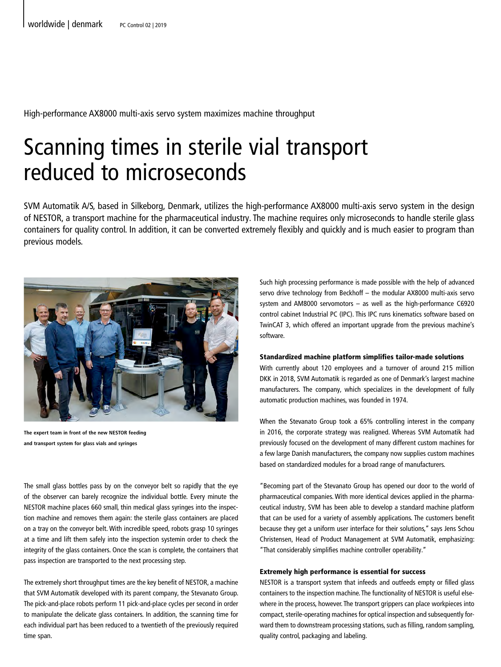High-performance AX8000 multi-axis servo system maximizes machine throughput

# Scanning times in sterile vial transport reduced to microseconds

SVM Automatik A/S, based in Silkeborg, Denmark, utilizes the high-performance AX8000 multi-axis servo system in the design of NESTOR, a transport machine for the pharmaceutical industry. The machine requires only microseconds to handle sterile glass containers for quality control. In addition, it can be converted extremely flexibly and quickly and is much easier to program than previous models.



**The expert team in front of the new NESTOR feeding and transport system for glass vials and syringes**

The small glass bottles pass by on the conveyor belt so rapidly that the eye of the observer can barely recognize the individual bottle. Every minute the NESTOR machine places 660 small, thin medical glass syringes into the inspection machine and removes them again: the sterile glass containers are placed on a tray on the conveyor belt. With incredible speed, robots grasp 10 syringes at a time and lift them safely into the inspection systemin order to check the integrity of the glass containers. Once the scan is complete, the containers that pass inspection are transported to the next processing step.

The extremely short throughput times are the key benefit of NESTOR, a machine that SVM Automatik developed with its parent company, the Stevanato Group. The pick-and-place robots perform 11 pick-and-place cycles per second in order to manipulate the delicate glass containers. In addition, the scanning time for each individual part has been reduced to a twentieth of the previously required time span.

Such high processing performance is made possible with the help of advanced servo drive technology from Beckhoff – the modular AX8000 multi-axis servo system and AM8000 servomotors – as well as the high-performance C6920 control cabinet Industrial PC (IPC). This IPC runs kinematics software based on TwinCAT 3, which offered an important upgrade from the previous machine's software.

#### Standardized machine platform simplifies tailor-made solutions

With currently about 120 employees and a turnover of around 215 million DKK in 2018, SVM Automatik is regarded as one of Denmark's largest machine manufacturers. The company, which specializes in the development of fully automatic production machines, was founded in 1974.

When the Stevanato Group took a 65% controlling interest in the company in 2016, the corporate strategy was realigned. Whereas SVM Automatik had previously focused on the development of many different custom machines for a few large Danish manufacturers, the company now supplies custom machines based on standardized modules for a broad range of manufacturers.

"Becoming part of the Stevanato Group has opened our door to the world of pharmaceutical companies. With more identical devices applied in the pharmaceutical industry, SVM has been able to develop a standard machine platform that can be used for a variety of assembly applications. The customers benefit because they get a uniform user interface for their solutions," says Jens Schou Christensen, Head of Product Management at SVM Automatik, emphasizing: "That considerably simplifies machine controller operability."

#### Extremely high performance is essential for success

NESTOR is a transport system that infeeds and outfeeds empty or filled glass containers to the inspection machine. The functionality of NESTOR is useful elsewhere in the process, however. The transport grippers can place workpieces into compact, sterile-operating machines for optical inspection and subsequently forward them to downstream processing stations, such as filling, random sampling, quality control, packaging and labeling.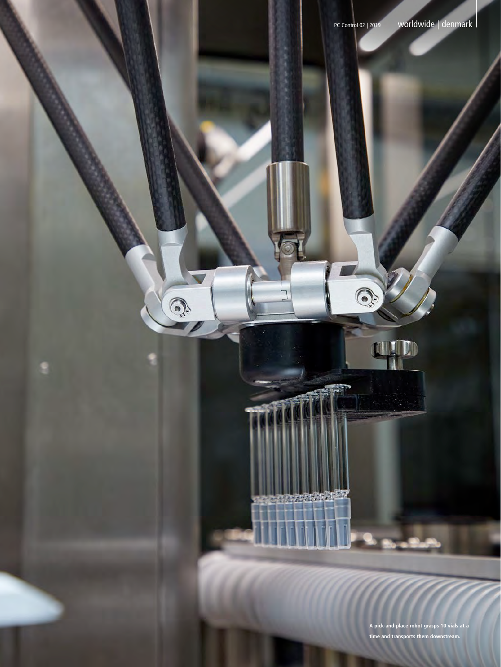Q

<u>e e e e estados d</u>

**NUTD** 

Q

|

**A pick-and-place robot grasps 10 vials at a time and transports them downstream.**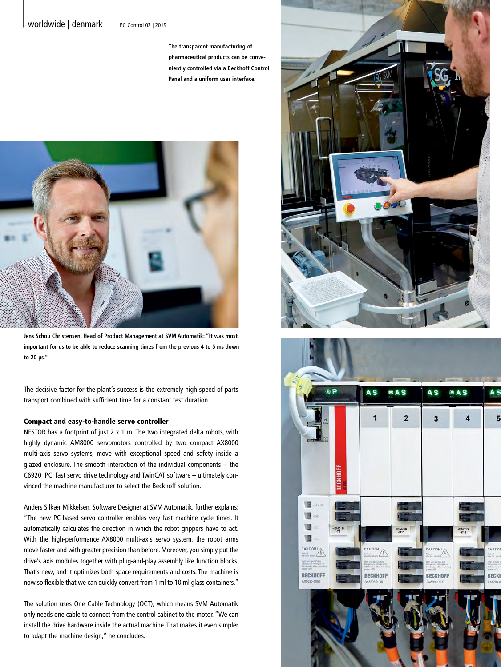## Worldwide | denmark PC Control 02 | 2019

**The transparent manufacturing of pharmaceutical products can be conveniently controlled via a Beckhoff Control Panel and a uniform user interface.**



**Jens Schou Christensen, Head of Product Management at SVM Automatik: "It was most important for us to be able to reduce scanning times from the previous 4 to 5 ms down to 20 µs."**

The decisive factor for the plant's success is the extremely high speed of parts transport combined with sufficient time for a constant test duration.

#### Compact and easy-to-handle servo controller

NESTOR has a footprint of just 2 x 1 m. The two integrated delta robots, with highly dynamic AM8000 servomotors controlled by two compact AX8000 multi-axis servo systems, move with exceptional speed and safety inside a glazed enclosure. The smooth interaction of the individual components – the C6920 IPC, fast servo drive technology and TwinCAT software – ultimately convinced the machine manufacturer to select the Beckhoff solution.

Anders Silkær Mikkelsen, Software Designer at SVM Automatik, further explains: "The new PC-based servo controller enables very fast machine cycle times. It automatically calculates the direction in which the robot grippers have to act. With the high-performance AX8000 multi-axis servo system, the robot arms move faster and with greater precision than before. Moreover, you simply put the drive's axis modules together with plug-and-play assembly like function blocks. That's new, and it optimizes both space requirements and costs. The machine is now so flexible that we can quickly convert from 1 ml to 10 ml glass containers."

The solution uses One Cable Technology (OCT), which means SVM Automatik only needs one cable to connect from the control cabinet to the motor. "We can install the drive hardware inside the actual machine. That makes it even simpler to adapt the machine design," he concludes.